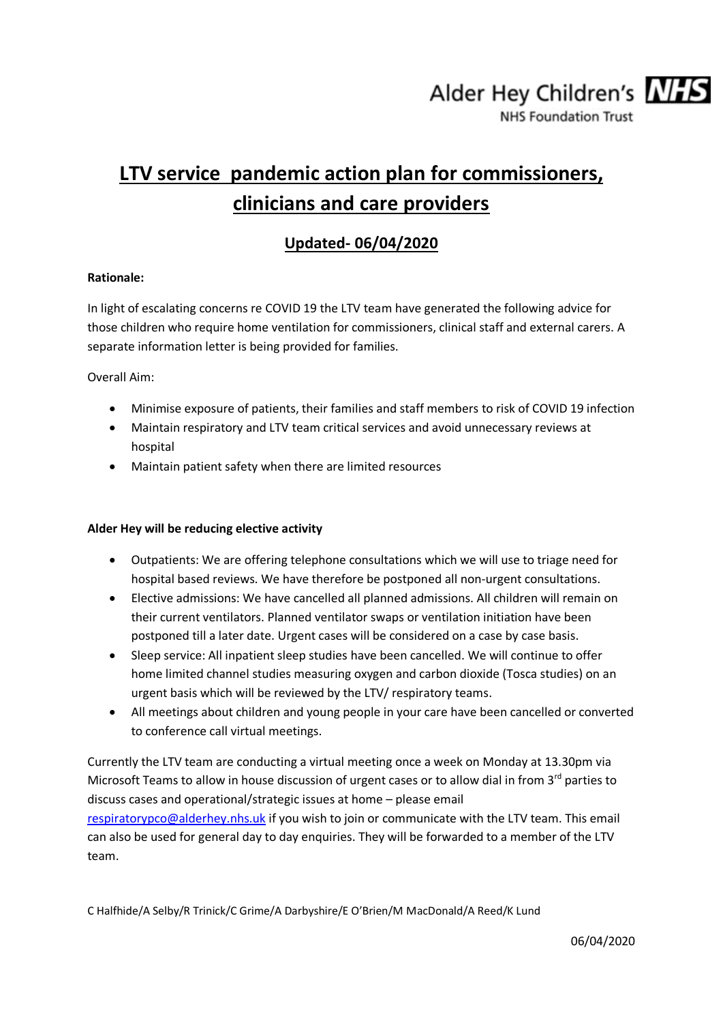Alder Hey Children's NHS

**NHS Foundation Trust** 

# **LTV service pandemic action plan for commissioners, clinicians and care providers**

## **Updated- 06/04/2020**

### **Rationale:**

In light of escalating concerns re COVID 19 the LTV team have generated the following advice for those children who require home ventilation for commissioners, clinical staff and external carers. A separate information letter is being provided for families.

Overall Aim:

- Minimise exposure of patients, their families and staff members to risk of COVID 19 infection
- Maintain respiratory and LTV team critical services and avoid unnecessary reviews at hospital
- Maintain patient safety when there are limited resources

### **Alder Hey will be reducing elective activity**

- Outpatients: We are offering telephone consultations which we will use to triage need for hospital based reviews. We have therefore be postponed all non-urgent consultations.
- Elective admissions: We have cancelled all planned admissions. All children will remain on their current ventilators. Planned ventilator swaps or ventilation initiation have been postponed till a later date. Urgent cases will be considered on a case by case basis.
- Sleep service: All inpatient sleep studies have been cancelled. We will continue to offer home limited channel studies measuring oxygen and carbon dioxide (Tosca studies) on an urgent basis which will be reviewed by the LTV/ respiratory teams.
- All meetings about children and young people in your care have been cancelled or converted to conference call virtual meetings.

Currently the LTV team are conducting a virtual meeting once a week on Monday at 13.30pm via Microsoft Teams to allow in house discussion of urgent cases or to allow dial in from 3<sup>rd</sup> parties to discuss cases and operational/strategic issues at home – please email [respiratorypco@alderhey.nhs.uk](mailto:respiratorypco@alderhey.nhs.uk) if you wish to join or communicate with the LTV team. This email

can also be used for general day to day enquiries. They will be forwarded to a member of the LTV team.

C Halfhide/A Selby/R Trinick/C Grime/A Darbyshire/E O'Brien/M MacDonald/A Reed/K Lund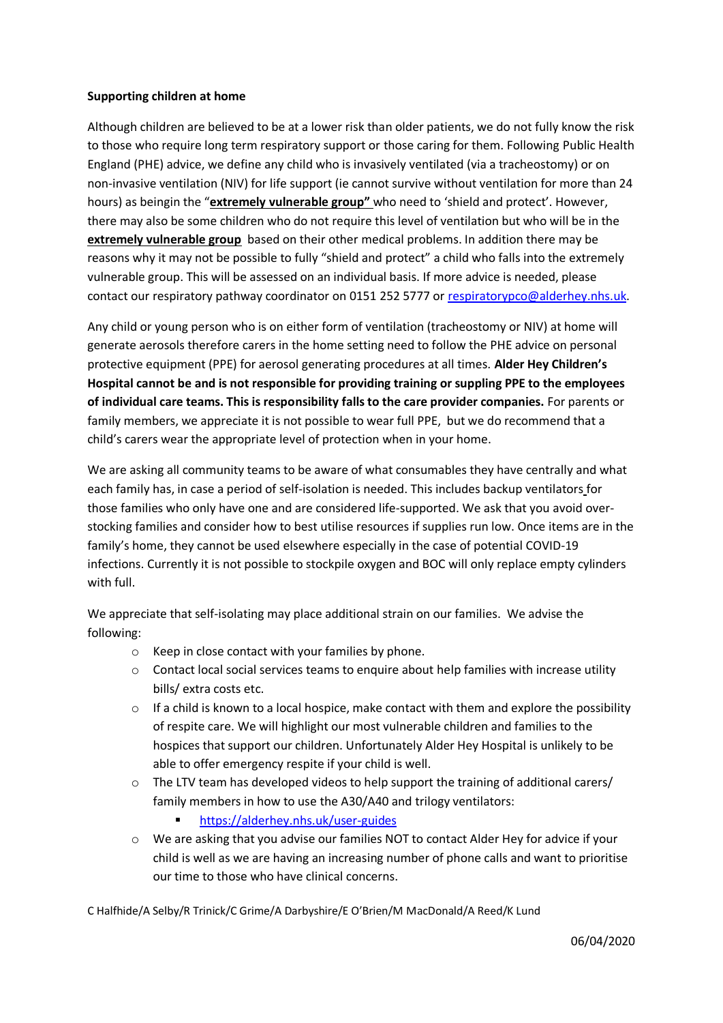#### **Supporting children at home**

Although children are believed to be at a lower risk than older patients, we do not fully know the risk to those who require long term respiratory support or those caring for them. Following Public Health England (PHE) advice, we define any child who is invasively ventilated (via a tracheostomy) or on non-invasive ventilation (NIV) for life support (ie cannot survive without ventilation for more than 24 hours) as beingin the "**extremely vulnerable group"** who need to 'shield and protect'. However, there may also be some children who do not require this level of ventilation but who will be in the **extremely vulnerable group** based on their other medical problems. In addition there may be reasons why it may not be possible to fully "shield and protect" a child who falls into the extremely vulnerable group. This will be assessed on an individual basis. If more advice is needed, please contact our respiratory pathway coordinator on 0151 252 5777 or [respiratorypco@alderhey.nhs.uk.](mailto:respiratorypco@alderhey.nhs.uk)

Any child or young person who is on either form of ventilation (tracheostomy or NIV) at home will generate aerosols therefore carers in the home setting need to follow the PHE advice on personal protective equipment (PPE) for aerosol generating procedures at all times. **Alder Hey Children's Hospital cannot be and is not responsible for providing training or suppling PPE to the employees of individual care teams. This is responsibility falls to the care provider companies.** For parents or family members, we appreciate it is not possible to wear full PPE, but we do recommend that a child's carers wear the appropriate level of protection when in your home.

We are asking all community teams to be aware of what consumables they have centrally and what each family has, in case a period of self-isolation is needed. This includes backup ventilators for those families who only have one and are considered life-supported. We ask that you avoid overstocking families and consider how to best utilise resources if supplies run low. Once items are in the family's home, they cannot be used elsewhere especially in the case of potential COVID-19 infections. Currently it is not possible to stockpile oxygen and BOC will only replace empty cylinders with full.

We appreciate that self-isolating may place additional strain on our families. We advise the following:

- o Keep in close contact with your families by phone.
- o Contact local social services teams to enquire about help families with increase utility bills/ extra costs etc.
- $\circ$  If a child is known to a local hospice, make contact with them and explore the possibility of respite care. We will highlight our most vulnerable children and families to the hospices that support our children. Unfortunately Alder Hey Hospital is unlikely to be able to offer emergency respite if your child is well.
- $\circ$  The LTV team has developed videos to help support the training of additional carers/ family members in how to use the A30/A40 and trilogy ventilators:
	- <https://alderhey.nhs.uk/user-guides>
- o We are asking that you advise our families NOT to contact Alder Hey for advice if your child is well as we are having an increasing number of phone calls and want to prioritise our time to those who have clinical concerns.

C Halfhide/A Selby/R Trinick/C Grime/A Darbyshire/E O'Brien/M MacDonald/A Reed/K Lund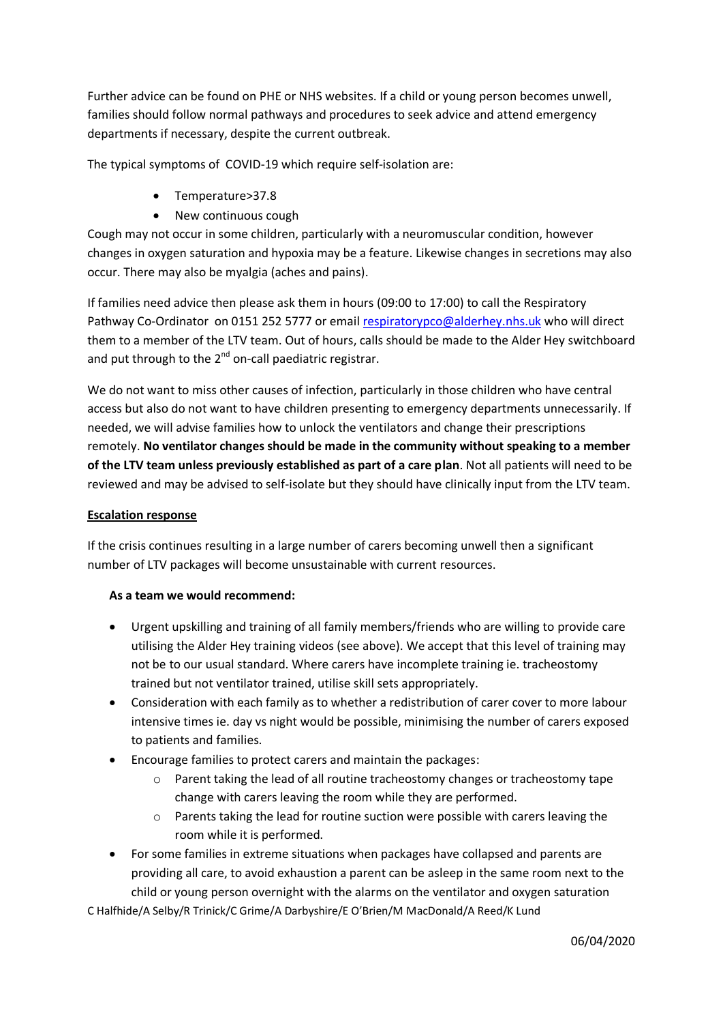Further advice can be found on PHE or NHS websites. If a child or young person becomes unwell, families should follow normal pathways and procedures to seek advice and attend emergency departments if necessary, despite the current outbreak.

The typical symptoms of COVID-19 which require self-isolation are:

- Temperature>37.8
- New continuous cough

Cough may not occur in some children, particularly with a neuromuscular condition, however changes in oxygen saturation and hypoxia may be a feature. Likewise changes in secretions may also occur. There may also be myalgia (aches and pains).

If families need advice then please ask them in hours (09:00 to 17:00) to call the Respiratory Pathway Co-Ordinator on 0151 252 5777 or email [respiratorypco@alderhey.nhs.uk](mailto:respiratorypco@alderhey.nhs.uk) who will direct them to a member of the LTV team. Out of hours, calls should be made to the Alder Hey switchboard and put through to the  $2^{nd}$  on-call paediatric registrar.

We do not want to miss other causes of infection, particularly in those children who have central access but also do not want to have children presenting to emergency departments unnecessarily. If needed, we will advise families how to unlock the ventilators and change their prescriptions remotely. **No ventilator changes should be made in the community without speaking to a member of the LTV team unless previously established as part of a care plan**. Not all patients will need to be reviewed and may be advised to self-isolate but they should have clinically input from the LTV team.

### **Escalation response**

If the crisis continues resulting in a large number of carers becoming unwell then a significant number of LTV packages will become unsustainable with current resources.

### **As a team we would recommend:**

- Urgent upskilling and training of all family members/friends who are willing to provide care utilising the Alder Hey training videos (see above). We accept that this level of training may not be to our usual standard. Where carers have incomplete training ie. tracheostomy trained but not ventilator trained, utilise skill sets appropriately.
- Consideration with each family as to whether a redistribution of carer cover to more labour intensive times ie. day vs night would be possible, minimising the number of carers exposed to patients and families.
- Encourage families to protect carers and maintain the packages:
	- $\circ$  Parent taking the lead of all routine tracheostomy changes or tracheostomy tape change with carers leaving the room while they are performed.
	- o Parents taking the lead for routine suction were possible with carers leaving the room while it is performed.
- For some families in extreme situations when packages have collapsed and parents are providing all care, to avoid exhaustion a parent can be asleep in the same room next to the child or young person overnight with the alarms on the ventilator and oxygen saturation

C Halfhide/A Selby/R Trinick/C Grime/A Darbyshire/E O'Brien/M MacDonald/A Reed/K Lund